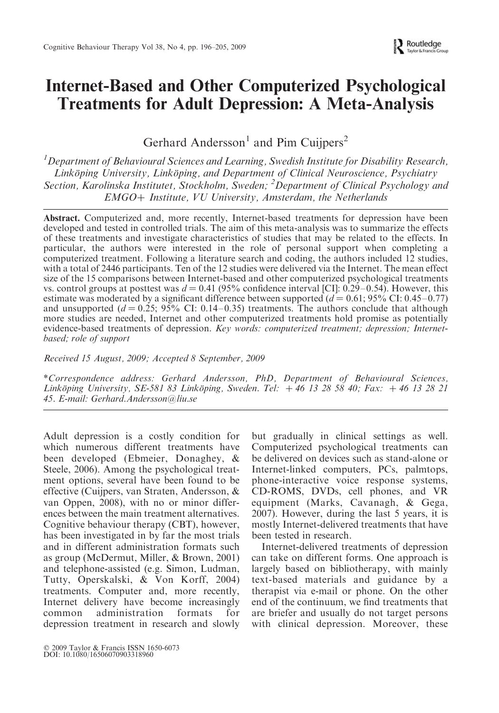# Internet-Based and Other Computerized Psychological Treatments for Adult Depression: A Meta-Analysis

Gerhard Andersson<sup>1</sup> and Pim Cuijpers<sup>2</sup>

<sup>1</sup>Department of Behavioural Sciences and Learning, Swedish Institute for Disability Research, Linköping University, Linköping, and Department of Clinical Neuroscience, Psychiatry Section, Karolinska Institutet, Stockholm, Sweden; <sup>2</sup> Department of Clinical Psychology and  $EMGO+ Institute, VU University, Amsterdam, the Netherlands$ 

Abstract. Computerized and, more recently, Internet-based treatments for depression have been developed and tested in controlled trials. The aim of this meta-analysis was to summarize the effects of these treatments and investigate characteristics of studies that may be related to the effects. In particular, the authors were interested in the role of personal support when completing a computerized treatment. Following a literature search and coding, the authors included 12 studies, with a total of 2446 participants. Ten of the 12 studies were delivered via the Internet. The mean effect size of the 15 comparisons between Internet-based and other computerized psychological treatments vs. control groups at posttest was  $d = 0.41$  (95% confidence interval [CI]: 0.29–0.54). However, this estimate was moderated by a significant difference between supported  $(d = 0.61; 95\% \text{ CI}: 0.45-0.77)$ and unsupported  $(d = 0.25; 95\% \text{ CI: } 0.14-0.35)$  treatments. The authors conclude that although more studies are needed, Internet and other computerized treatments hold promise as potentially evidence-based treatments of depression. Key words: computerized treatment; depression; Internetbased; role of support

Received 15 August, 2009; Accepted 8 September, 2009

\*Correspondence address: Gerhard Andersson, PhD, Department of Behavioural Sciences, Linköping University, SE-581 83 Linköping, Sweden. Tel:  $+46$  13 28 58 40; Fax:  $+46$  13 28 21 45. E-mail: Gerhard.Andersson@liu.se

Adult depression is a costly condition for which numerous different treatments have been developed (Ebmeier, Donaghey, & Steele, 2006). Among the psychological treatment options, several have been found to be effective (Cuijpers, van Straten, Andersson, & van Oppen, 2008), with no or minor differences between the main treatment alternatives. Cognitive behaviour therapy (CBT), however, has been investigated in by far the most trials and in different administration formats such as group (McDermut, Miller, & Brown, 2001) and telephone-assisted (e.g. Simon, Ludman, Tutty, Operskalski, & Von Korff, 2004) treatments. Computer and, more recently, Internet delivery have become increasingly common administration formats for depression treatment in research and slowly

but gradually in clinical settings as well. Computerized psychological treatments can be delivered on devices such as stand-alone or Internet-linked computers, PCs, palmtops, phone-interactive voice response systems, CD-ROMS, DVDs, cell phones, and VR equipment (Marks, Cavanagh, & Gega, 2007). However, during the last 5 years, it is mostly Internet-delivered treatments that have been tested in research.

Internet-delivered treatments of depression can take on different forms. One approach is largely based on bibliotherapy, with mainly text-based materials and guidance by a therapist via e-mail or phone. On the other end of the continuum, we find treatments that are briefer and usually do not target persons with clinical depression. Moreover, these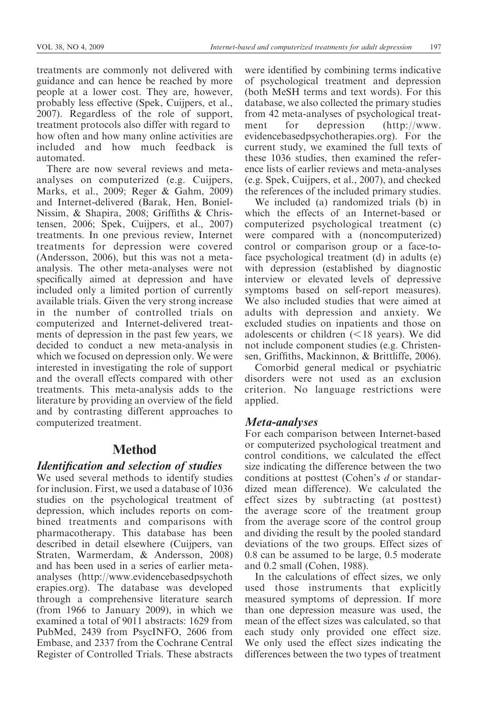treatments are commonly not delivered with guidance and can hence be reached by more people at a lower cost. They are, however, probably less effective (Spek, Cuijpers, et al., 2007). Regardless of the role of support, treatment protocols also differ with regard to how often and how many online activities are included and how much feedback is automated.

There are now several reviews and metaanalyses on computerized (e.g. Cuijpers, Marks, et al., 2009; Reger & Gahm, 2009) and Internet-delivered (Barak, Hen, Boniel-Nissim, & Shapira, 2008; Griffiths & Christensen, 2006; Spek, Cuijpers, et al., 2007) treatments. In one previous review, Internet treatments for depression were covered (Andersson, 2006), but this was not a metaanalysis. The other meta-analyses were not specifically aimed at depression and have included only a limited portion of currently available trials. Given the very strong increase in the number of controlled trials on computerized and Internet-delivered treatments of depression in the past few years, we decided to conduct a new meta-analysis in which we focused on depression only. We were interested in investigating the role of support and the overall effects compared with other treatments. This meta-analysis adds to the literature by providing an overview of the field and by contrasting different approaches to computerized treatment.

# Method

### Identification and selection of studies

We used several methods to identify studies for inclusion. First, we used a database of 1036 studies on the psychological treatment of depression, which includes reports on combined treatments and comparisons with pharmacotherapy. This database has been described in detail elsewhere (Cuijpers, van Straten, Warmerdam, & Andersson, 2008) and has been used in a series of earlier metaanalyses (http://www.evidencebasedpsychoth erapies.org). The database was developed through a comprehensive literature search (from 1966 to January 2009), in which we examined a total of 9011 abstracts: 1629 from PubMed, 2439 from PsycINFO, 2606 from Embase, and 2337 from the Cochrane Central Register of Controlled Trials. These abstracts

were identified by combining terms indicative of psychological treatment and depression (both MeSH terms and text words). For this database, we also collected the primary studies from 42 meta-analyses of psychological treatment for depression (http://www. evidencebasedpsychotherapies.org). For the current study, we examined the full texts of these 1036 studies, then examined the reference lists of earlier reviews and meta-analyses (e.g. Spek, Cuijpers, et al., 2007), and checked the references of the included primary studies.

We included (a) randomized trials (b) in which the effects of an Internet-based or computerized psychological treatment (c) were compared with a (noncomputerized) control or comparison group or a face-toface psychological treatment (d) in adults (e) with depression (established by diagnostic interview or elevated levels of depressive symptoms based on self-report measures). We also included studies that were aimed at adults with depression and anxiety. We excluded studies on inpatients and those on adolescents or children  $\approx$  18 years). We did not include component studies (e.g. Christensen, Griffiths, Mackinnon, & Brittliffe, 2006).

Comorbid general medical or psychiatric disorders were not used as an exclusion criterion. No language restrictions were applied.

### Meta-analyses

For each comparison between Internet-based or computerized psychological treatment and control conditions, we calculated the effect size indicating the difference between the two conditions at posttest (Cohen's d or standardized mean difference). We calculated the effect sizes by subtracting (at posttest) the average score of the treatment group from the average score of the control group and dividing the result by the pooled standard deviations of the two groups. Effect sizes of 0.8 can be assumed to be large, 0.5 moderate and 0.2 small (Cohen, 1988).

In the calculations of effect sizes, we only used those instruments that explicitly measured symptoms of depression. If more than one depression measure was used, the mean of the effect sizes was calculated, so that each study only provided one effect size. We only used the effect sizes indicating the differences between the two types of treatment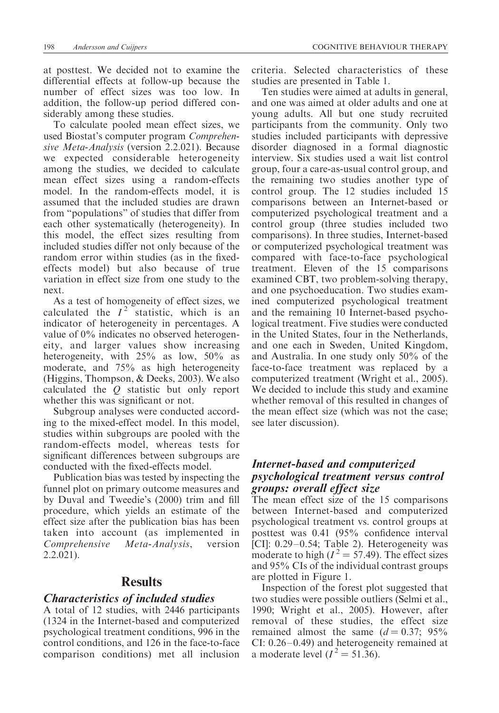at posttest. We decided not to examine the differential effects at follow-up because the number of effect sizes was too low. In addition, the follow-up period differed considerably among these studies.

To calculate pooled mean effect sizes, we used Biostat's computer program Comprehensive Meta-Analysis (version 2.2.021). Because we expected considerable heterogeneity among the studies, we decided to calculate mean effect sizes using a random-effects model. In the random-effects model, it is assumed that the included studies are drawn from "populations" of studies that differ from each other systematically (heterogeneity). In this model, the effect sizes resulting from included studies differ not only because of the random error within studies (as in the fixedeffects model) but also because of true variation in effect size from one study to the next.

As a test of homogeneity of effect sizes, we calculated the  $I^2$  statistic, which is an indicator of heterogeneity in percentages. A value of 0% indicates no observed heterogeneity, and larger values show increasing heterogeneity, with 25% as low, 50% as moderate, and 75% as high heterogeneity (Higgins, Thompson, & Deeks, 2003). We also calculated the Q statistic but only report whether this was significant or not.

Subgroup analyses were conducted according to the mixed-effect model. In this model, studies within subgroups are pooled with the random-effects model, whereas tests for significant differences between subgroups are conducted with the fixed-effects model.

Publication bias was tested by inspecting the funnel plot on primary outcome measures and by Duval and Tweedie's (2000) trim and fill procedure, which yields an estimate of the effect size after the publication bias has been taken into account (as implemented in Comprehensive Meta-Analysis, version 2.2.021).

### **Results**

#### Characteristics of included studies

A total of 12 studies, with 2446 participants (1324 in the Internet-based and computerized psychological treatment conditions, 996 in the control conditions, and 126 in the face-to-face comparison conditions) met all inclusion criteria. Selected characteristics of these studies are presented in Table 1.

Ten studies were aimed at adults in general, and one was aimed at older adults and one at young adults. All but one study recruited participants from the community. Only two studies included participants with depressive disorder diagnosed in a formal diagnostic interview. Six studies used a wait list control group, four a care-as-usual control group, and the remaining two studies another type of control group. The 12 studies included 15 comparisons between an Internet-based or computerized psychological treatment and a control group (three studies included two comparisons). In three studies, Internet-based or computerized psychological treatment was compared with face-to-face psychological treatment. Eleven of the 15 comparisons examined CBT, two problem-solving therapy, and one psychoeducation. Two studies examined computerized psychological treatment and the remaining 10 Internet-based psychological treatment. Five studies were conducted in the United States, four in the Netherlands, and one each in Sweden, United Kingdom, and Australia. In one study only 50% of the face-to-face treatment was replaced by a computerized treatment (Wright et al., 2005). We decided to include this study and examine whether removal of this resulted in changes of the mean effect size (which was not the case; see later discussion).

#### Internet-based and computerized psychological treatment versus control groups: overall effect size

The mean effect size of the 15 comparisons between Internet-based and computerized psychological treatment vs. control groups at posttest was 0.41 (95% confidence interval [CI]:  $0.29-0.54$ ; Table 2). Heterogeneity was moderate to high ( $I^2 = 57.49$ ). The effect sizes and 95% CIs of the individual contrast groups are plotted in Figure 1.

Inspection of the forest plot suggested that two studies were possible outliers (Selmi et al., 1990; Wright et al., 2005). However, after removal of these studies, the effect size remained almost the same  $(d = 0.37; 95\%$ CI: 0.26–0.49) and heterogeneity remained at a moderate level  $(I^2 = 51.36)$ .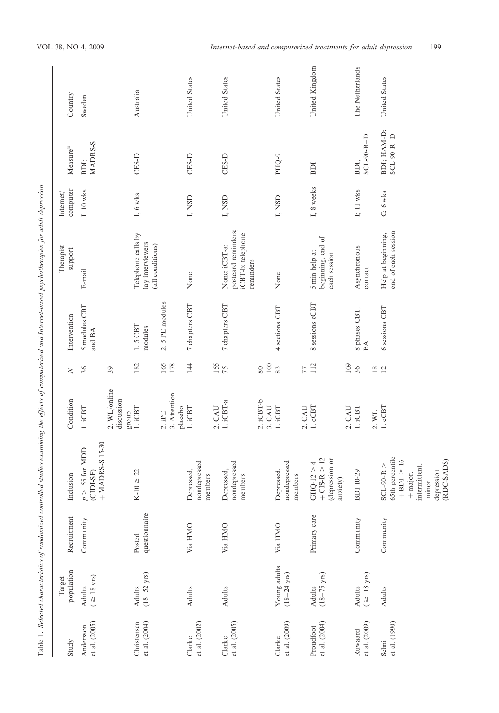| Table 1. Selected characteristics of randomized |                                 |                         |                                                                                                                      |                                                              |                |                              |                                                                        |                       |                             |                      |
|-------------------------------------------------|---------------------------------|-------------------------|----------------------------------------------------------------------------------------------------------------------|--------------------------------------------------------------|----------------|------------------------------|------------------------------------------------------------------------|-----------------------|-----------------------------|----------------------|
| Study                                           | population<br>Target            | Recruitment             | Inclusion                                                                                                            | Condition                                                    | $\geq$         | Intervention                 | Therapist<br>support                                                   | computer<br>Internet/ | Measure <sup>a</sup>        | Country              |
| et al. (2005)<br>Andersson                      | Adults<br>( $\geq$ 18 yrs)      | Community               | + MADRS-S 15-30<br>$p > .55$ for MDD<br>$(CDI-SF)$                                                                   | 1.1CBI                                                       | $36\,$         | 5 modules CBT<br>and BA      | E-mail                                                                 | I, 10 wks             | MADRS-S<br>BD <sub>i</sub>  | Sweden               |
|                                                 |                                 |                         |                                                                                                                      | 2. WL/online<br>discussion<br>dnora                          | $39$           |                              |                                                                        |                       |                             |                      |
| Christensen<br>et al. (2004)                    | Adults<br>$(18-52 \text{ yrs})$ | questionnaire<br>Posted | $K-10 \ge 22$                                                                                                        | 1. iCBT                                                      | 182            | $1.5$ CBT<br>modules         | Telephone calls by<br>lay interviewers<br>(all conditions)             | $I, 6$ wks            | CES-D                       | Australia            |
|                                                 |                                 |                         |                                                                                                                      | 3. Attention<br>placebo<br>$2.$ iPE                          | 165            | 5 PE modules<br>ς.           |                                                                        |                       |                             |                      |
| et al. (2002)<br>Clarke                         | Adults                          | Via HMO                 | nondepressed<br>Depressed,<br>members                                                                                | 1. iCBT                                                      | 144            | 7 chapters CBT               | None                                                                   | I, NSD                | CES-D                       | United States        |
|                                                 |                                 |                         |                                                                                                                      | $2.\,\text{CALJ}\atop 1.\,\text{iCBT-a}$                     | 155<br>75      |                              |                                                                        |                       |                             |                      |
| et al. (2005)<br>Clarke                         | Adults                          | Via HMO                 | nondepressed<br>Depressed,<br>members                                                                                |                                                              |                | 7 chapters CBT               | postcard reminders;<br>iCBT-b: telephone<br>None: iCBT-a:<br>reminders | I, NSD                | CES-D                       | United States        |
|                                                 |                                 |                         |                                                                                                                      | $2.$ $i$ CBT- $b$                                            | $100\,$<br>80  |                              |                                                                        |                       |                             |                      |
| et al. (2009)<br>Clarke                         | Young adults<br>(18 $-24$ yrs)  | Via HMO                 | nondepressed<br>Depressed,<br>members                                                                                | $3.\mathsf{CAU}$ 1. $iCBT$                                   | 83             | 4 sections CBT               | None                                                                   | I, NSD                | PHQ-9                       | United States        |
|                                                 |                                 |                         |                                                                                                                      | $2. \text{CAU}$ 1. cCBT                                      | 77             |                              |                                                                        |                       |                             |                      |
| et al. (2004)<br>Proudfoot                      | Adults<br>$(18-75 \text{ yrs})$ | Primary care            | $+ CIS-R > 12$<br>(depression or<br>$GHQ-12 > 4$<br>anxiety)                                                         |                                                              | 112            | 8 sessions cCBT              | beginning, end of<br>5 min help at<br>each session                     | I, 8 weeks            | BDI                         | United Kingdom       |
|                                                 |                                 |                         |                                                                                                                      | $2. \text{CALU}$<br>$1. \text{ iCBT}$                        | 109            |                              |                                                                        |                       |                             |                      |
| et al. (2009)<br>Ruwaard                        | $($ $\geq$ 18 yrs)<br>Adults    | Community               | BDI 10-29                                                                                                            |                                                              | 36             | 8 phases CBT,<br>$_{\rm BA}$ | Asynchronous<br>contact                                                | I; 11 $\rm wks$       | $SCL-90-R-D$<br>BDI,        | The Netherlands      |
| et al. (1990)<br>Selmi                          | Adults                          | Community               | 65th percentile<br>$+$ BDI $\geq$ 16<br>(RDC-SADS)<br>$SCL-90-R$<br>intermittent,<br>depression<br>+ major,<br>minor | $\begin{array}{l} \text{2. WL} \\ \text{1. CCH} \end{array}$ | $\frac{8}{12}$ | 6 sessions CBT               | end of each session<br>Help at beginning,                              | C; 6 wks              | BDI; HAM-D;<br>$SCL-90-R-D$ | <b>United States</b> |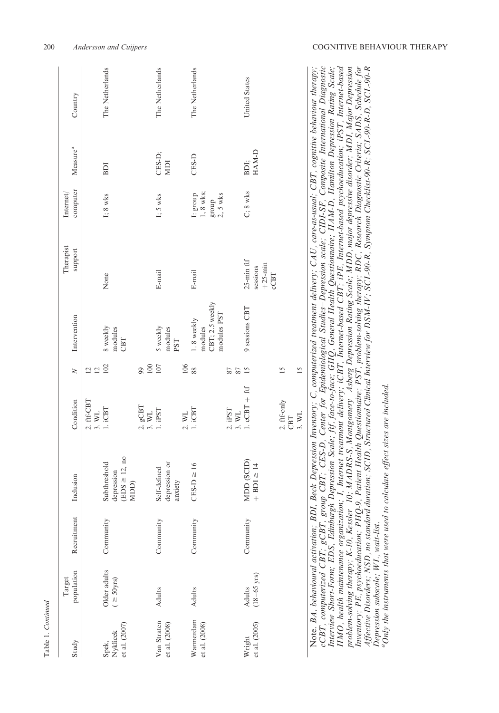| Study                              | population<br>Target                   | Recruitment | Inclusion                                                                                                                                                                                                                                                                                                                                                                                                                                                                                                                                                                                                                                                                                                                                                                                                                                   | Condition                                                                               | $\geq$                                                | Intervention                                            | Therapist<br>support                         | computer<br>Internet/                      | Measure <sup>a</sup> | Country         |
|------------------------------------|----------------------------------------|-------------|---------------------------------------------------------------------------------------------------------------------------------------------------------------------------------------------------------------------------------------------------------------------------------------------------------------------------------------------------------------------------------------------------------------------------------------------------------------------------------------------------------------------------------------------------------------------------------------------------------------------------------------------------------------------------------------------------------------------------------------------------------------------------------------------------------------------------------------------|-----------------------------------------------------------------------------------------|-------------------------------------------------------|---------------------------------------------------------|----------------------------------------------|--------------------------------------------|----------------------|-----------------|
| et al. (2007)<br>Nyklicek<br>Spek, | Older adults<br>$($ ≥ 50yrs)           | Community   | $EDS \ge 12$ , no<br>Subthreshold<br>depression<br>NDD)                                                                                                                                                                                                                                                                                                                                                                                                                                                                                                                                                                                                                                                                                                                                                                                     | 2. ftf-CBT<br>1. iCBT<br>3. WL                                                          | 102<br>$\overline{12}$<br>$\overline{c}$              | 8 weekly<br>modules<br>CBT                              | None                                         | $I; 8$ wks                                 | BDI                  | The Netherlands |
| Van Straten<br>et al. (2008)       | Adults                                 | Community   | depression or<br>Self-defined<br>anxiety                                                                                                                                                                                                                                                                                                                                                                                                                                                                                                                                                                                                                                                                                                                                                                                                    | $2.99$ CBT<br>$1.$ iPST<br>$3. WL$                                                      | 107<br>100<br>99                                      | 5 weekly<br>modules<br>PST                              | E-mail                                       | I; 5 wks                                   | CES-D;<br><b>MDI</b> | The Netherlands |
| Warmerdam<br>et al. (2008)         | <b>Adults</b>                          | Community   | $CES-D \geq 16$                                                                                                                                                                                                                                                                                                                                                                                                                                                                                                                                                                                                                                                                                                                                                                                                                             | 1. iCBT<br>2. iPST<br>2. W <sub>L</sub>                                                 | 106<br>88<br>78<br>87                                 | CBT; 2.5 weekly<br>modules PST<br>1.8 weekly<br>modules | E-mail                                       | 1, 8 wks;<br>2, 5 wks<br>I: group<br>group | CES-D                | The Netherlands |
| et al. (2005)<br>Wright            | $(18 - 65 \text{ yrs})$<br>Adults      | Community   | MDD (SCID)<br>$+$ BDI $\geq$ 14                                                                                                                                                                                                                                                                                                                                                                                                                                                                                                                                                                                                                                                                                                                                                                                                             | $1.\overline{C}BT + ff$<br>2. ftf-only<br>3. W <sub>L</sub><br>3. W <sub>L</sub><br>CBT | $\overline{15}$<br>$\overline{15}$<br>$\overline{15}$ | 9 sessions CBT                                          | 25-min ftf<br>$+25$ -min<br>sessions<br>CCBT | C; 8 wks                                   | HAM-D<br>BDI:        | United States   |
|                                    | $cCBT$ , computerized $CBT$ ; $gCBT$ , |             | Note. BA, behavioural activation; BDI, Beck Depression Inventory; C, computerized treatment delivery; CAU, care-as-usual; CBT, cognitive behaviour therapy;<br>group CBT; CES-D, Center for Epidemiological Studies-Depression scale; CIDI-SF, Composite International Diagnostic<br>Interview Short-Form; EDS, Edinburgh Depression Scale; ftf, face-to-face; GHQ, General Health Questionnaire; HAM-D, Hamilton Depression Rating Scale;<br>HMO, health maintenance organization; I, Internet treatment delivery; iCBT, Internet-based CBT; iPE, Internet-based psychoeducation; iPST, Internet-based<br>problem-solving therapy; K-10, Kessler–10; MADRS-S, Montgomery–Asberg Depression Rating Scale; MDD, major depressive disorder; MDI, Major Depression<br>Inventory; PE, psychoeducation; PHQ-9, Patient Health Questiomaire; PST, |                                                                                         |                                                       |                                                         |                                              |                                            |                      |                 |

Table 1. Continued

Table 1. Continued

Affective Disorders; NSD, no standard duration; SCID, Structured Clinical Interview for DSM-IV; SCL-90-R, Symptom Checklist-90-R; SCL-90-R-D, SCL-90-R<br>Depression subscale; WL, wait-list.<br>"Only the instruments that were use aOnly the instruments that were used to calculate effect sizes are included. Depression subscale; WL, wait-list.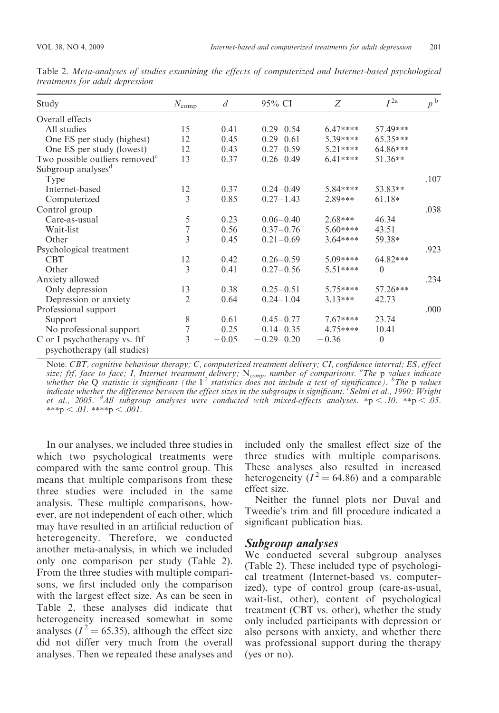| Study                                                       | $N_{\text{comp}}$ | $\overline{d}$ | 95% CI         | Z         | $I^{2a}$   | $p^{b}$ |
|-------------------------------------------------------------|-------------------|----------------|----------------|-----------|------------|---------|
| Overall effects                                             |                   |                |                |           |            |         |
| All studies                                                 | 15                | 0.41           | $0.29 - 0.54$  | $6.47***$ | 57.49***   |         |
| One ES per study (highest)                                  | 12                | 0.45           | $0.29 - 0.61$  | 5.39****  | $65.35***$ |         |
| One ES per study (lowest)                                   | 12                | 0.43           | $0.27 - 0.59$  | $5.21***$ | $64.86***$ |         |
| Two possible outliers removed <sup>c</sup>                  | 13                | 0.37           | $0.26 - 0.49$  | $6.41***$ | $51.36**$  |         |
| Subgroup analyses <sup>d</sup>                              |                   |                |                |           |            |         |
| Type                                                        |                   |                |                |           |            | .107    |
| Internet-based                                              | 12                | 0.37           | $0.24 - 0.49$  | $5.84***$ | 53.83**    |         |
| Computerized                                                | 3                 | 0.85           | $0.27 - 1.43$  | $2.89***$ | $61.18*$   |         |
| Control group                                               |                   |                |                |           |            | .038    |
| Care-as-usual                                               | 5                 | 0.23           | $0.06 - 0.40$  | $2.68***$ | 46.34      |         |
| Wait-list                                                   | $\overline{7}$    | 0.56           | $0.37 - 0.76$  | $5.60***$ | 43.51      |         |
| Other                                                       | $\overline{3}$    | 0.45           | $0.21 - 0.69$  | $3.64***$ | 59.38*     |         |
| Psychological treatment                                     |                   |                |                |           |            | .923    |
| <b>CBT</b>                                                  | 12                | 0.42           | $0.26 - 0.59$  | $5.09***$ | 64.82***   |         |
| Other                                                       | 3                 | 0.41           | $0.27 - 0.56$  | $5.51***$ | $\theta$   |         |
| Anxiety allowed                                             |                   |                |                |           |            | .234    |
| Only depression                                             | 13                | 0.38           | $0.25 - 0.51$  | $5.75***$ | 57.26***   |         |
| Depression or anxiety                                       | $\overline{2}$    | 0.64           | $0.24 - 1.04$  | $3.13***$ | 42.73      |         |
| Professional support                                        |                   |                |                |           |            | .000    |
| Support                                                     | 8                 | 0.61           | $0.45 - 0.77$  | $7.67***$ | 23.74      |         |
| No professional support                                     | 7                 | 0.25           | $0.14 - 0.35$  | $4.75***$ | 10.41      |         |
| C or I psychotherapy vs. ftf<br>psychotherapy (all studies) | 3                 | $-0.05$        | $-0.29 - 0.20$ | $-0.36$   | $\theta$   |         |

Table 2. Meta-analyses of studies examining the effects of computerized and Internet-based psychological treatments for adult depression

Note. CBT, cognitive behaviour therapy; C, computerized treatment delivery; CI, confidence interval; ES, effect size; ftf, face to face; I, Internet treatment delivery; N<sub>comp</sub>, number of comparisons. <sup>a</sup>The p values indicate whether the Q statistic is significant (the  $1^2$  statistics does not include a test of significance). <sup>b</sup>The p values indicate whether the difference between the effect sizes in the subgroups is significant. <sup>c</sup>Selmi et al., 1990; Wright et al., 2005. <sup>d</sup>All subgroup analyses were conducted with mixed-effects analyses. \*p < .10. \*\*p < .05. \*\*\*p < .01. \*\*\*\*p < .001.

In our analyses, we included three studies in which two psychological treatments were compared with the same control group. This means that multiple comparisons from these three studies were included in the same analysis. These multiple comparisons, however, are not independent of each other, which may have resulted in an artificial reduction of heterogeneity. Therefore, we conducted another meta-analysis, in which we included only one comparison per study (Table 2). From the three studies with multiple comparisons, we first included only the comparison with the largest effect size. As can be seen in Table 2, these analyses did indicate that heterogeneity increased somewhat in some analyses ( $I^2 = 65.35$ ), although the effect size did not differ very much from the overall analyses. Then we repeated these analyses and included only the smallest effect size of the three studies with multiple comparisons. These analyses also resulted in increased heterogeneity ( $I^2 = 64.86$ ) and a comparable effect size.

Neither the funnel plots nor Duval and Tweedie's trim and fill procedure indicated a significant publication bias.

#### Subgroup analyses

We conducted several subgroup analyses (Table 2). These included type of psychological treatment (Internet-based vs. computerized), type of control group (care-as-usual, wait-list, other), content of psychological treatment (CBT vs. other), whether the study only included participants with depression or also persons with anxiety, and whether there was professional support during the therapy (yes or no).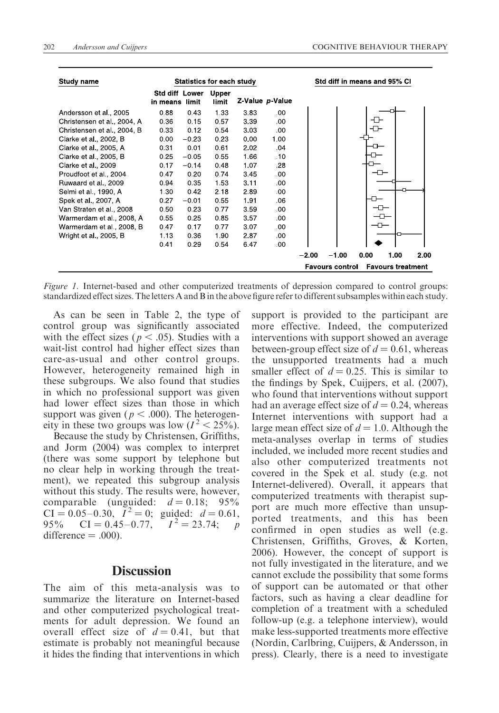| Study name                  |                | <b>Statistics for each study</b> |                |       |                 |         | Std diff in means and 95% CI |      |                          |      |
|-----------------------------|----------------|----------------------------------|----------------|-------|-----------------|---------|------------------------------|------|--------------------------|------|
|                             | in means limit | Std diff Lower                   | Upper<br>limit |       | Z Value p Value |         |                              |      |                          |      |
| Andersson et al., 2005      | 0.88           | 0.43                             | 1.33           | 3.83  | .00             |         |                              |      |                          |      |
| Christensen et al., 2004, A | 036            | 0.15                             | 0.57           | 3 3 9 | .00             |         |                              |      |                          |      |
| Christensen et al., 2004, B | 0.33           | 0.12                             | 0.54           | 3.03  | .00             |         |                              |      |                          |      |
| Clarke et al., 2002, B      | 0.00           | $-0.23$                          | 0.23           | 0.00  | 1.00            |         |                              |      |                          |      |
| Clarke et al., 2005, A      | 0.31           | 0.01                             | 0.61           | 2.02  | -04             |         |                              |      |                          |      |
| Clarke et al., 2005, B      | 0.25           | $-0.05$                          | 0.55           | 1.66  | .10             |         |                              |      |                          |      |
| Clarke et al., 2009         | 0.17           | $-0.14$                          | 0.48           | 1.07  | -28             |         |                              |      |                          |      |
| Proudfoot et al., 2004      | 0.47           | 0.20                             | 0.74           | 3.45  | 00              |         |                              |      |                          |      |
| Ruwaard et al., 2009        | 0.94           | 0 35                             | 1.53           | 3.11  | .00             |         |                              |      |                          |      |
| Selmi et al., 1990, A       | 1.30           | 0.42                             | 2 1 8          | 2.89  | .00             |         |                              |      |                          |      |
| Spek et al., 2007, A        | 0.27           | $-0.01$                          | 0.55           | 1.91  | .06             |         |                              |      |                          |      |
| Van Straten et al., 2008    | 0.50           | 0.23                             | 0.77           | 3.59  | .00             |         |                              |      |                          |      |
| Warmerdam et al., 2008, A   | 0.55           | 0.25                             | 085            | 3.57  | .00             |         |                              |      |                          |      |
| Warmerdam et al., 2008, B   | 0.47           | 0.17                             | 0.77           | 3.07  | .00             |         |                              |      |                          |      |
| Wright et al, 2005, B       | 1.13           | 0.36                             | 1.90           | 2.87  | .00             |         |                              |      |                          |      |
|                             | 0.41           | 0.29                             | 0.54           | 6.47  | .00             |         |                              |      |                          |      |
|                             |                |                                  |                |       |                 | $-2.00$ | $-1.00$                      | 0.00 | 1.00                     | 2.00 |
|                             |                |                                  |                |       |                 |         | <b>Favours control</b>       |      | <b>Favours treatment</b> |      |

Figure 1. Internet-based and other computerized treatments of depression compared to control groups: standardized effect sizes. The letters A and B in the above figure refer to different subsamples within each study.

As can be seen in Table 2, the type of control group was significantly associated with the effect sizes ( $p < .05$ ). Studies with a wait-list control had higher effect sizes than care-as-usual and other control groups. However, heterogeneity remained high in these subgroups. We also found that studies in which no professional support was given had lower effect sizes than those in which support was given ( $p < .000$ ). The heterogeneity in these two groups was low  $(I^2 < 25\%)$ .

Because the study by Christensen, Griffiths, and Jorm (2004) was complex to interpret (there was some support by telephone but no clear help in working through the treatment), we repeated this subgroup analysis without this study. The results were, however, comparable (unguided:  $d = 0.18$ ; 95%  $CI = 0.05 - 0.30$ ,  $\bar{I}^2 = 0$ ; guided:  $d = 0.61$ , 95% CI = 0.45 – 0.77,  $I^2 = 23.74$ ; difference  $= .000$ .

#### **Discussion**

The aim of this meta-analysis was to summarize the literature on Internet-based and other computerized psychological treatments for adult depression. We found an overall effect size of  $d = 0.41$ , but that estimate is probably not meaningful because it hides the finding that interventions in which

support is provided to the participant are more effective. Indeed, the computerized interventions with support showed an average between-group effect size of  $d = 0.61$ , whereas the unsupported treatments had a much smaller effect of  $d = 0.25$ . This is similar to the findings by Spek, Cuijpers, et al. (2007), who found that interventions without support had an average effect size of  $d = 0.24$ , whereas Internet interventions with support had a large mean effect size of  $d = 1.0$ . Although the meta-analyses overlap in terms of studies included, we included more recent studies and also other computerized treatments not covered in the Spek et al. study (e.g. not Internet-delivered). Overall, it appears that computerized treatments with therapist support are much more effective than unsupported treatments, and this has been confirmed in open studies as well (e.g. Christensen, Griffiths, Groves, & Korten, 2006). However, the concept of support is not fully investigated in the literature, and we cannot exclude the possibility that some forms of support can be automated or that other factors, such as having a clear deadline for completion of a treatment with a scheduled follow-up (e.g. a telephone interview), would make less-supported treatments more effective (Nordin, Carlbring, Cuijpers, & Andersson, in press). Clearly, there is a need to investigate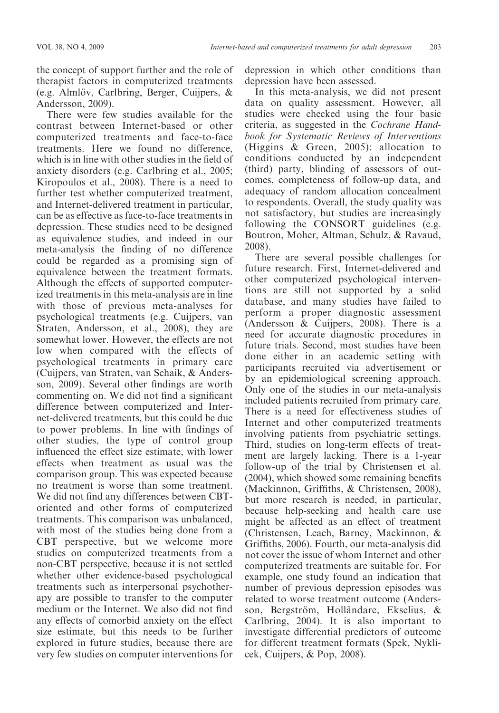the concept of support further and the role of therapist factors in computerized treatments (e.g. Almlöv, Carlbring, Berger, Cuijpers,  $\&$ Andersson, 2009).

There were few studies available for the contrast between Internet-based or other computerized treatments and face-to-face treatments. Here we found no difference, which is in line with other studies in the field of anxiety disorders (e.g. Carlbring et al., 2005; Kiropoulos et al., 2008). There is a need to further test whether computerized treatment, and Internet-delivered treatment in particular, can be as effective as face-to-face treatments in depression. These studies need to be designed as equivalence studies, and indeed in our meta-analysis the finding of no difference could be regarded as a promising sign of equivalence between the treatment formats. Although the effects of supported computerized treatments in this meta-analysis are in line with those of previous meta-analyses for psychological treatments (e.g. Cuijpers, van Straten, Andersson, et al., 2008), they are somewhat lower. However, the effects are not low when compared with the effects of psychological treatments in primary care (Cuijpers, van Straten, van Schaik, & Andersson, 2009). Several other findings are worth commenting on. We did not find a significant difference between computerized and Internet-delivered treatments, but this could be due to power problems. In line with findings of other studies, the type of control group influenced the effect size estimate, with lower effects when treatment as usual was the comparison group. This was expected because no treatment is worse than some treatment. We did not find any differences between CBToriented and other forms of computerized treatments. This comparison was unbalanced, with most of the studies being done from a CBT perspective, but we welcome more studies on computerized treatments from a non-CBT perspective, because it is not settled whether other evidence-based psychological treatments such as interpersonal psychotherapy are possible to transfer to the computer medium or the Internet. We also did not find any effects of comorbid anxiety on the effect size estimate, but this needs to be further explored in future studies, because there are very few studies on computer interventions for

depression in which other conditions than depression have been assessed.

In this meta-analysis, we did not present data on quality assessment. However, all studies were checked using the four basic criteria, as suggested in the Cochrane Handbook for Systematic Reviews of Interventions (Higgins & Green, 2005): allocation to conditions conducted by an independent (third) party, blinding of assessors of outcomes, completeness of follow-up data, and adequacy of random allocation concealment to respondents. Overall, the study quality was not satisfactory, but studies are increasingly following the CONSORT guidelines (e.g. Boutron, Moher, Altman, Schulz, & Ravaud, 2008).

There are several possible challenges for future research. First, Internet-delivered and other computerized psychological interventions are still not supported by a solid database, and many studies have failed to perform a proper diagnostic assessment (Andersson & Cuijpers, 2008). There is a need for accurate diagnostic procedures in future trials. Second, most studies have been done either in an academic setting with participants recruited via advertisement or by an epidemiological screening approach. Only one of the studies in our meta-analysis included patients recruited from primary care. There is a need for effectiveness studies of Internet and other computerized treatments involving patients from psychiatric settings. Third, studies on long-term effects of treatment are largely lacking. There is a 1-year follow-up of the trial by Christensen et al. (2004), which showed some remaining benefits (Mackinnon, Griffiths, & Christensen, 2008), but more research is needed, in particular, because help-seeking and health care use might be affected as an effect of treatment (Christensen, Leach, Barney, Mackinnon, & Griffiths, 2006). Fourth, our meta-analysis did not cover the issue of whom Internet and other computerized treatments are suitable for. For example, one study found an indication that number of previous depression episodes was related to worse treatment outcome (Andersson, Bergström, Holländare, Ekselius, & Carlbring, 2004). It is also important to investigate differential predictors of outcome for different treatment formats (Spek, Nyklı´ cek, Cuijpers, & Pop, 2008).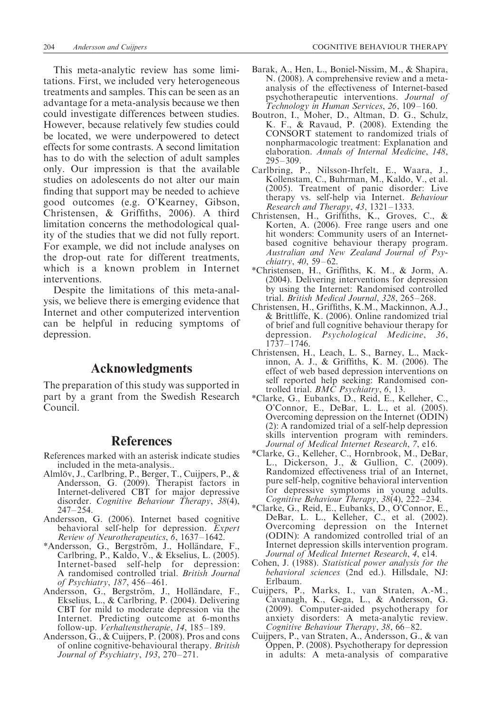This meta-analytic review has some limitations. First, we included very heterogeneous treatments and samples. This can be seen as an advantage for a meta-analysis because we then could investigate differences between studies. However, because relatively few studies could be located, we were underpowered to detect effects for some contrasts. A second limitation has to do with the selection of adult samples only. Our impression is that the available studies on adolescents do not alter our main finding that support may be needed to achieve good outcomes (e.g. O'Kearney, Gibson, Christensen, & Griffiths, 2006). A third limitation concerns the methodological quality of the studies that we did not fully report. For example, we did not include analyses on the drop-out rate for different treatments, which is a known problem in Internet interventions.

Despite the limitations of this meta-analysis, we believe there is emerging evidence that Internet and other computerized intervention can be helpful in reducing symptoms of depression.

#### Acknowledgments

The preparation of this study was supported in part by a grant from the Swedish Research Council.

## References

- References marked with an asterisk indicate studies included in the meta-analysis..
- Almlöv, J., Carlbring, P., Berger, T., Cuijpers, P., & Andersson, G. (2009). Therapist factors in Internet-delivered CBT for major depressive disorder. Cognitive Behaviour Therapy, 38(4), 247–254.
- Andersson, G. (2006). Internet based cognitive behavioral self-help for depression. Expert Review of Neurotherapeutics,  $\delta$ , 1637–1642.
- \*Andersson, G., Bergström, J., Holländare, F., Carlbring, P., Kaldo, V., & Ekselius, L. (2005). Internet-based self-help for depression: A randomised controlled trial. British Journal of Psychiatry, 187, 456– 461.
- Andersson, G., Bergström, J., Holländare, F., Ekselius, L., & Carlbring, P. (2004). Delivering CBT for mild to moderate depression via the Internet. Predicting outcome at 6-months follow-up. Verhaltenstherapie, 14, 185-189.
- Andersson, G., & Cuijpers, P. (2008). Pros and cons of online cognitive-behavioural therapy. British Journal of Psychiatry, 193, 270-271.
- Barak, A., Hen, L., Boniel-Nissim, M., & Shapira, N. (2008). A comprehensive review and a metaanalysis of the effectiveness of Internet-based psychotherapeutic interventions. Journal of Technology in Human Services, 26, 109-160.
- Boutron, I., Moher, D., Altman, D. G., Schulz, K. F., & Ravaud, P. (2008). Extending the CONSORT statement to randomized trials of nonpharmacologic treatment: Explanation and elaboration. Annals of Internal Medicine, 148, 295– 309.
- Carlbring, P., Nilsson-Ihrfelt, E., Waara, J., Kollenstam, C., Buhrman, M., Kaldo, V., et al. (2005). Treatment of panic disorder: Live therapy vs. self-help via Internet. Behaviour Research and Therapy,  $43$ ,  $1321 - 1333$ .
- Christensen, H., Griffiths, K., Groves, C., & Korten, A. (2006). Free range users and one hit wonders: Community users of an Internetbased cognitive behaviour therapy program. Australian and New Zealand Journal of Psychiatry, 40, 59-62.
- \*Christensen, H., Griffiths, K. M., & Jorm, A. (2004). Delivering interventions for depression by using the Internet: Randomised controlled trial. British Medical Journal, 328, 265-268.
- Christensen, H., Griffiths, K.M., Mackinnon, A.J., & Brittliffe, K. (2006). Online randomized trial of brief and full cognitive behaviour therapy for depression. Psychological Medicine, 36, 1737– 1746.
- Christensen, H., Leach, L. S., Barney, L., Mackinnon, A. J., & Griffiths, K. M. (2006). The effect of web based depression interventions on self reported help seeking: Randomised controlled trial. BMC Psychiatry, 6, 13.
- \*Clarke, G., Eubanks, D., Reid, E., Kelleher, C., O'Connor, E., DeBar, L. L., et al. (2005). Overcoming depression on the Internet (ODIN) (2): A randomized trial of a self-help depression skills intervention program with reminders. Journal of Medical Internet Research, 7, e16.
- \*Clarke, G., Kelleher, C., Hornbrook, M., DeBar, L., Dickerson, J., & Gullion, C. (2009). Randomized effectiveness trial of an Internet, pure self-help, cognitive behavioral intervention for depressive symptoms in young adults. Cognitive Behaviour Therapy, 38(4), 222– 234.
- \*Clarke, G., Reid, E., Eubanks, D., O'Connor, E., DeBar, L. L., Kelleher, C., et al. (2002). Overcoming depression on the Internet (ODIN): A randomized controlled trial of an Internet depression skills intervention program. Journal of Medical Internet Research, 4, e14.
- Cohen, J. (1988). Statistical power analysis for the behavioral sciences (2nd ed.). Hillsdale, NJ: Erlbaum.
- Cuijpers, P., Marks, I., van Straten, A.-M., Cavanagh, K., Gega, L., & Andersson, G. (2009). Computer-aided psychotherapy for anxiety disorders: A meta-analytic review. Cognitive Behaviour Therapy, 38, 66-82.
- Cuijpers, P., van Straten, A., Andersson, G., & van Oppen, P. (2008). Psychotherapy for depression in adults: A meta-analysis of comparative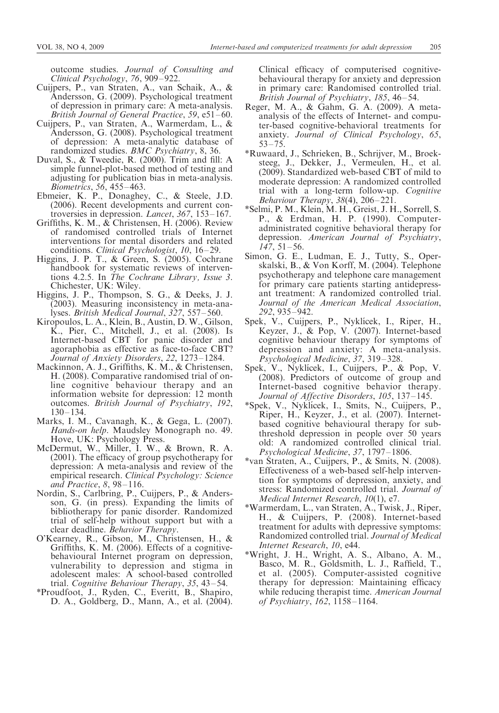outcome studies. Journal of Consulting and Clinical Psychology, 76, 909–922

- Cuijpers, P., van Straten, A., van Schaik, A., & Andersson, G. (2009). Psychological treatment of depression in primary care: A meta-analysis. British Journal of General Practice, 59, e51-60.
- Cuijpers, P., van Straten, A., Warmerdam, L., & Andersson, G. (2008). Psychological treatment of depression: A meta-analytic database of randomized studies. BMC Psychiatry, 8, 36.
- Duval, S., & Tweedie, R. (2000). Trim and fill: A simple funnel-plot-based method of testing and adjusting for publication bias in meta-analysis. Biometrics, 56, 455– 463.
- Ebmeier, K. P., Donaghey, C., & Steele, J.D. (2006). Recent developments and current controversies in depression. Lancet, 367, 153-167.
- Griffiths, K. M., & Christensen, H. (2006). Review of randomised controlled trials of Internet interventions for mental disorders and related conditions. Clinical Psychologist, 10, 16-29.
- Higgins, J. P. T., & Green, S. (2005). Cochrane handbook for systematic reviews of interventions 4.2.5. In The Cochrane Library, Issue 3. Chichester, UK: Wiley.
- Higgins, J. P., Thompson, S. G., & Deeks, J. J. (2003). Measuring inconsistency in meta-analyses. British Medical Journal, 327, 557– 560.
- Kiropoulos, L. A., Klein, B., Austin, D. W., Gilson, K., Pier, C., Mitchell, J., et al. (2008). Is Internet-based CBT for panic disorder and agoraphobia as effective as face-to-face CBT? Journal of Anxiety Disorders, 22, 1273-1284.
- Mackinnon, A. J., Griffiths, K. M., & Christensen, H. (2008). Comparative randomised trial of online cognitive behaviour therapy and an information website for depression: 12 month outcomes. *British Journal of Psychiatry*, 192, 130–134.
- Marks, I. M., Cavanagh, K., & Gega, L. (2007). Hands-on help. Maudsley Monograph no. 49. Hove, UK: Psychology Press.
- McDermut, W., Miller, I. W., & Brown, R. A. (2001). The efficacy of group psychotherapy for depression: A meta-analysis and review of the empirical research. Clinical Psychology: Science and Practice,  $8, 98-116$ .
- Nordin, S., Carlbring, P., Cuijpers, P., & Andersson, G. (in press). Expanding the limits of bibliotherapy for panic disorder. Randomized trial of self-help without support but with a clear deadline. *Behavior Therapy*.
- O'Kearney, R., Gibson, M., Christensen, H., & Griffiths, K. M. (2006). Effects of a cognitivebehavioural Internet program on depression, vulnerability to depression and stigma in adolescent males: A school-based controlled trial. Cognitive Behaviour Therapy, 35, 43-54.
- \*Proudfoot, J., Ryden, C., Everitt, B., Shapiro, D. A., Goldberg, D., Mann, A., et al. (2004).

Clinical efficacy of computerised cognitivebehavioural therapy for anxiety and depression in primary care: Randomised controlled trial. British Journal of Psychiatry, 185, 46-54.

- Reger, M. A., & Gahm, G. A. (2009). A metaanalysis of the effects of Internet- and computer-based cognitive-behavioral treatments for anxiety. Journal of Clinical Psychology, 65,  $53 - 75.$
- \*Ruwaard, J., Schrieken, B., Schrijver, M., Broeksteeg, J., Dekker, J., Vermeulen, H., et al. (2009). Standardized web-based CBT of mild to moderate depression: A randomized controlled trial with a long-term follow-up. Cognitive Behaviour Therapy, 38(4), 206-221.
- \*Selmi, P. M., Klein, M. H., Greist, J. H., Sorrell, S. P., & Erdman, H. P. (1990). Computeradministrated cognitive behavioral therapy for depression. American Journal of Psychiatry,  $147, 51 - 56.$
- Simon, G. E., Ludman, E. J., Tutty, S., Operskalski, B., & Von Korff, M. (2004). Telephone psychotherapy and telephone care management for primary care patients starting antidepressant treatment: A randomized controlled trial. Journal of the American Medical Association, 292, 935– 942.
- Spek, V., Cuijpers, P., Nyklicek, I., Riper, H., Keyzer, J., & Pop, V. (2007). Internet-based cognitive behaviour therapy for symptoms of depression and anxiety: A meta-analysis. Psychological Medicine, 37, 319–328.
- Spek, V., Nyklicek, I., Cuijpers, P., & Pop, V. (2008). Predictors of outcome of group and Internet-based cognitive behavior therapy. Journal of Affective Disorders, 105, 137-145.
- \*Spek, V., Nyklı´cek, I., Smits, N., Cuijpers, P., Riper, H., Keyzer, J., et al. (2007). Internetbased cognitive behavioural therapy for subthreshold depression in people over 50 years old: A randomized controlled clinical trial. Psychological Medicine, 37, 1797– 1806.
- \*van Straten, A., Cuijpers, P., & Smits, N. (2008). Effectiveness of a web-based self-help intervention for symptoms of depression, anxiety, and stress: Randomized controlled trial. Journal of Medical Internet Research, 10(1), e7.
- \*Warmerdam, L., van Straten, A., Twisk, J., Riper, H., & Cuijpers, P. (2008). Internet-based treatment for adults with depressive symptoms: Randomized controlled trial. Journal of Medical Internet Research, 10, e44.
- \*Wright, J. H., Wright, A. S., Albano, A. M., Basco, M. R., Goldsmith, L. J., Raffield, T., et al. (2005). Computer-assisted cognitive therapy for depression: Maintaining efficacy while reducing therapist time. American Journal of Psychiatry, 162, 1158 –1164.